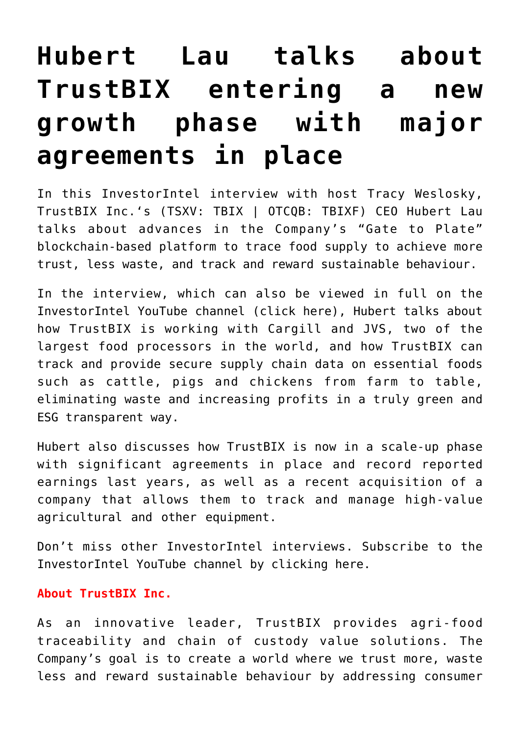## **[Hubert Lau talks about](https://investorintel.com/investorintel-video/hubert-lau-talks-about-trustbix-entering-a-new-growth-phase-with-major-agreements-in-place/) [TrustBIX entering a new](https://investorintel.com/investorintel-video/hubert-lau-talks-about-trustbix-entering-a-new-growth-phase-with-major-agreements-in-place/) [growth phase with major](https://investorintel.com/investorintel-video/hubert-lau-talks-about-trustbix-entering-a-new-growth-phase-with-major-agreements-in-place/) [agreements in place](https://investorintel.com/investorintel-video/hubert-lau-talks-about-trustbix-entering-a-new-growth-phase-with-major-agreements-in-place/)**

In this InvestorIntel interview with host Tracy Weslosky, [TrustBIX Inc.'](https://www.trustbix.com/)s (TSXV: TBIX | OTCQB: TBIXF) CEO Hubert Lau talks about advances in the Company's "Gate to Plate" blockchain-based platform to trace food supply to achieve more trust, less waste, and track and reward sustainable behaviour.

In the interview, which can also be viewed in full on the InvestorIntel YouTube channel ([click here\)](https://youtu.be/ChvPU53HCDg), Hubert talks about how TrustBIX is working with Cargill and JVS, two of the largest food processors in the world, and how TrustBIX can track and provide secure supply chain data on essential foods such as cattle, pigs and chickens from farm to table, eliminating waste and increasing profits in a truly green and ESG transparent way.

Hubert also discusses how TrustBIX is now in a scale-up phase with significant agreements in place and record reported earnings last years, as well as a recent acquisition of a company that allows them to track and manage high-value agricultural and other equipment.

Don't miss other InvestorIntel interviews. Subscribe to the InvestorIntel YouTube channel by [clicking here](https://www.youtube.com/c/InvestorIntel).

## **About TrustBIX Inc.**

As an innovative leader, TrustBIX provides agri-food traceability and chain of custody value solutions. The Company's goal is to create a world where we trust more, waste less and reward sustainable behaviour by addressing consumer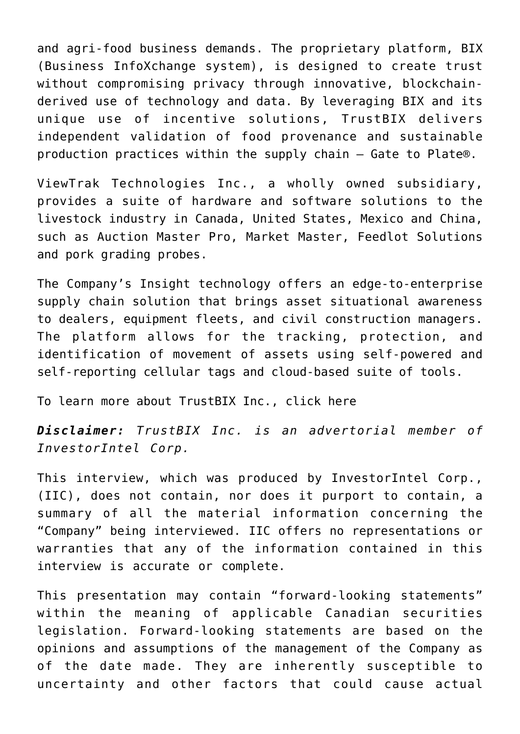and agri-food business demands. The proprietary platform, BIX (Business InfoXchange system), is designed to create trust without compromising privacy through innovative, blockchainderived use of technology and data. By leveraging BIX and its unique use of incentive solutions, TrustBIX delivers independent validation of food provenance and sustainable production practices within the supply chain – Gate to Plate®.

ViewTrak Technologies Inc., a wholly owned subsidiary, provides a suite of hardware and software solutions to the livestock industry in Canada, United States, Mexico and China, such as Auction Master Pro, Market Master, Feedlot Solutions and pork grading probes.

The Company's Insight technology offers an edge-to-enterprise supply chain solution that brings asset situational awareness to dealers, equipment fleets, and civil construction managers. The platform allows for the tracking, protection, and identification of movement of assets using self-powered and self-reporting cellular tags and cloud-based suite of tools.

To learn more about TrustBIX Inc., [click here](https://www.trustbix.com/)

*Disclaimer: TrustBIX Inc. is an advertorial member of InvestorIntel Corp.*

This interview, which was produced by InvestorIntel Corp., (IIC), does not contain, nor does it purport to contain, a summary of all the material information concerning the "Company" being interviewed. IIC offers no representations or warranties that any of the information contained in this interview is accurate or complete.

This presentation may contain "forward-looking statements" within the meaning of applicable Canadian securities legislation. Forward-looking statements are based on the opinions and assumptions of the management of the Company as of the date made. They are inherently susceptible to uncertainty and other factors that could cause actual